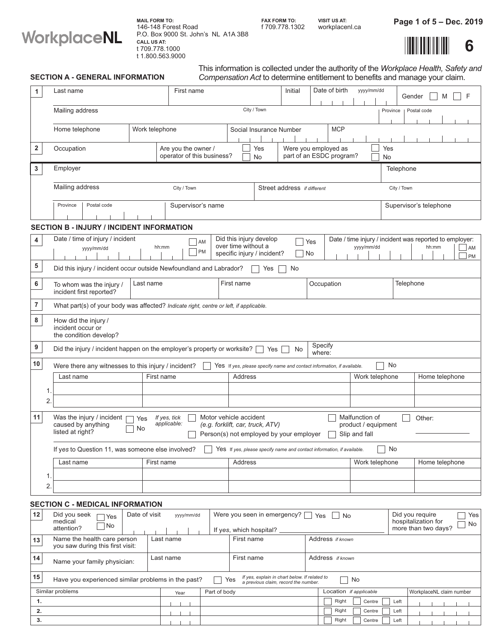

**CALL US AT:** t 709.778.1000 t 1.800.563.9000 146-148 Forest Road **MAIL FORM TO:** P.O. Box 9000 St. John's NL A1A 3B8 **FAX FORM TO:**

f 3 2 workplacenl.ca 709.778.1 0 **VISIT US AT:**

Page 1 of 5 – Dec. 2019



|                | <b>SECTION A - GENERAL INFORMATION</b>                                                                                                                                                                                                                                                                                       |                         |                                                   |              |                                                                                                                                         | This information is collected under the authority of the Workplace Health, Safety and<br>Compensation Act to determine entitlement to benefits and manage your claim. |                                                                        |                   |  |                             |           |                        |                  |           |              |  |  |                                                                  |  |                 |
|----------------|------------------------------------------------------------------------------------------------------------------------------------------------------------------------------------------------------------------------------------------------------------------------------------------------------------------------------|-------------------------|---------------------------------------------------|--------------|-----------------------------------------------------------------------------------------------------------------------------------------|-----------------------------------------------------------------------------------------------------------------------------------------------------------------------|------------------------------------------------------------------------|-------------------|--|-----------------------------|-----------|------------------------|------------------|-----------|--------------|--|--|------------------------------------------------------------------|--|-----------------|
| $\mathbf{1}$   | Last name                                                                                                                                                                                                                                                                                                                    | First name              |                                                   |              |                                                                                                                                         | Initial                                                                                                                                                               | Date of birth<br>yyyy/mm/dd                                            |                   |  | $\mathsf{F}$<br>Gender<br>M |           |                        |                  |           |              |  |  |                                                                  |  |                 |
|                | Mailing address                                                                                                                                                                                                                                                                                                              | City / Town             |                                                   |              |                                                                                                                                         |                                                                                                                                                                       |                                                                        |                   |  | Province<br>Postal code     |           |                        |                  |           |              |  |  |                                                                  |  |                 |
|                | Home telephone                                                                                                                                                                                                                                                                                                               | Work telephone          |                                                   |              |                                                                                                                                         | Social Insurance Number                                                                                                                                               |                                                                        |                   |  | <b>MCP</b>                  |           |                        |                  |           |              |  |  |                                                                  |  |                 |
| $\mathbf{2}$   | Occupation                                                                                                                                                                                                                                                                                                                   |                         | Are you the owner /<br>operator of this business? |              |                                                                                                                                         | Yes<br>No                                                                                                                                                             | Were you employed as<br>part of an ESDC program?                       |                   |  |                             |           |                        |                  | Yes<br>No |              |  |  |                                                                  |  |                 |
| $\mathbf{3}$   | Employer<br>Telephone                                                                                                                                                                                                                                                                                                        |                         |                                                   |              |                                                                                                                                         |                                                                                                                                                                       |                                                                        |                   |  |                             |           |                        |                  |           |              |  |  |                                                                  |  |                 |
|                | Mailing address                                                                                                                                                                                                                                                                                                              | City / Town             |                                                   |              |                                                                                                                                         | Street address if different                                                                                                                                           |                                                                        |                   |  |                             |           | City / Town            |                  |           |              |  |  |                                                                  |  |                 |
|                | Province<br>Postal code<br>Supervisor's name                                                                                                                                                                                                                                                                                 |                         |                                                   |              |                                                                                                                                         |                                                                                                                                                                       |                                                                        |                   |  |                             |           | Supervisor's telephone |                  |           |              |  |  |                                                                  |  |                 |
|                | <b>SECTION B - INJURY / INCIDENT INFORMATION</b>                                                                                                                                                                                                                                                                             |                         |                                                   |              |                                                                                                                                         |                                                                                                                                                                       |                                                                        |                   |  |                             |           |                        |                  |           |              |  |  |                                                                  |  |                 |
| 4<br>5         | Date / time of injury / incident<br>yyyy/mm/dd<br>Did this injury / incident occur outside Newfoundland and Labrador?                                                                                                                                                                                                        | hh:mm                   |                                                   | AM<br>PM     | over time without a                                                                                                                     | Did this injury develop<br>specific injury / incident?<br>Yes                                                                                                         | No                                                                     | Yes<br>No         |  |                             |           | yyyy/mm/dd             |                  |           |              |  |  | Date / time injury / incident was reported to employer:<br>hh:mm |  | AM<br><b>PM</b> |
| 6              | To whom was the injury /<br>incident first reported?                                                                                                                                                                                                                                                                         | First name<br>Last name |                                                   |              |                                                                                                                                         |                                                                                                                                                                       |                                                                        | Occupation        |  |                             |           |                        |                  | Telephone |              |  |  |                                                                  |  |                 |
| $\overline{7}$ | What part(s) of your body was affected? Indicate right, centre or left, if applicable.                                                                                                                                                                                                                                       |                         |                                                   |              |                                                                                                                                         |                                                                                                                                                                       |                                                                        |                   |  |                             |           |                        |                  |           |              |  |  |                                                                  |  |                 |
| 8              | How did the injury /<br>incident occur or<br>the condition develop?                                                                                                                                                                                                                                                          |                         |                                                   |              |                                                                                                                                         |                                                                                                                                                                       |                                                                        |                   |  |                             |           |                        |                  |           |              |  |  |                                                                  |  |                 |
| 9              | Did the injury / incident happen on the employer's property or worksite?                                                                                                                                                                                                                                                     |                         |                                                   |              |                                                                                                                                         | Yes                                                                                                                                                                   | No                                                                     | Specify<br>where: |  |                             |           |                        |                  |           |              |  |  |                                                                  |  |                 |
| $10\,$         | Were there any witnesses to this injury / incident?                                                                                                                                                                                                                                                                          |                         |                                                   |              |                                                                                                                                         |                                                                                                                                                                       | Yes If yes, please specify name and contact information, if available. |                   |  |                             |           |                        | No               |           |              |  |  |                                                                  |  |                 |
|                | Last name                                                                                                                                                                                                                                                                                                                    | First name              |                                                   |              | <b>Address</b>                                                                                                                          |                                                                                                                                                                       |                                                                        |                   |  |                             |           | Work telephone         |                  |           |              |  |  | Home telephone                                                   |  |                 |
|                | 1.<br>2.                                                                                                                                                                                                                                                                                                                     |                         |                                                   |              |                                                                                                                                         |                                                                                                                                                                       |                                                                        |                   |  |                             |           |                        |                  |           |              |  |  |                                                                  |  |                 |
| 11             | Motor vehicle accident<br>Was the injury / incident<br>Malfunction of<br>If yes, tick<br>Other:<br>Yes<br>applicable:<br>caused by anything<br>(e.g. forklift, car, truck, ATV)<br>product / equipment<br>$\overline{a}$<br>$\neg$ No<br>listed at right?<br>Person(s) not employed by your employer $\Box$<br>Slip and fall |                         |                                                   |              |                                                                                                                                         |                                                                                                                                                                       |                                                                        |                   |  |                             |           |                        |                  |           |              |  |  |                                                                  |  |                 |
|                | If yes to Question 11, was someone else involved?<br>No<br>Yes If yes, please specify name and contact information, if available.                                                                                                                                                                                            |                         |                                                   |              |                                                                                                                                         |                                                                                                                                                                       |                                                                        |                   |  |                             |           |                        |                  |           |              |  |  |                                                                  |  |                 |
|                | Last name                                                                                                                                                                                                                                                                                                                    | First name              |                                                   |              | Address                                                                                                                                 |                                                                                                                                                                       |                                                                        |                   |  |                             |           | Work telephone         |                  |           |              |  |  | Home telephone                                                   |  |                 |
|                | 1.<br>$\overline{2}$                                                                                                                                                                                                                                                                                                         |                         |                                                   |              |                                                                                                                                         |                                                                                                                                                                       |                                                                        |                   |  |                             |           |                        |                  |           |              |  |  |                                                                  |  |                 |
|                | <b>SECTION C - MEDICAL INFORMATION</b>                                                                                                                                                                                                                                                                                       |                         |                                                   |              |                                                                                                                                         |                                                                                                                                                                       |                                                                        |                   |  |                             |           |                        |                  |           |              |  |  |                                                                  |  |                 |
| 12             | Did you seek<br>Yes<br>medical<br>No.<br>attention?                                                                                                                                                                                                                                                                          | Date of visit           | yyyy/mm/dd                                        |              | Were you seen in emergency?   Yes<br>Did you require<br>∣ No<br>hospitalization for<br>more than two days?<br>If yes, which hospital? _ |                                                                                                                                                                       |                                                                        |                   |  |                             | Yes<br>No |                        |                  |           |              |  |  |                                                                  |  |                 |
| 13             | Name the health care person<br>you saw during this first visit:                                                                                                                                                                                                                                                              | Last name               |                                                   |              | First name                                                                                                                              |                                                                                                                                                                       |                                                                        | Address if known  |  |                             |           |                        |                  |           |              |  |  |                                                                  |  |                 |
| 14             | Name your family physician:                                                                                                                                                                                                                                                                                                  | Last name               |                                                   |              | First name                                                                                                                              |                                                                                                                                                                       |                                                                        | Address if known  |  |                             |           |                        |                  |           |              |  |  |                                                                  |  |                 |
| 15             | Have you experienced similar problems in the past?                                                                                                                                                                                                                                                                           |                         |                                                   |              | Yes                                                                                                                                     | If yes, explain in chart below. If related to<br>a previous claim, record the number.                                                                                 |                                                                        |                   |  |                             | No        |                        |                  |           |              |  |  |                                                                  |  |                 |
|                | Similar problems                                                                                                                                                                                                                                                                                                             |                         | Year                                              | Part of body |                                                                                                                                         |                                                                                                                                                                       |                                                                        |                   |  | Location if applicable      |           |                        |                  |           |              |  |  | WorkplaceNL claim number                                         |  |                 |
| 1.<br>2.       |                                                                                                                                                                                                                                                                                                                              |                         |                                                   |              |                                                                                                                                         |                                                                                                                                                                       |                                                                        |                   |  | Right<br>Right              |           |                        | Centre<br>Centre |           | Left<br>Left |  |  |                                                                  |  |                 |
| 3.             |                                                                                                                                                                                                                                                                                                                              |                         |                                                   |              |                                                                                                                                         |                                                                                                                                                                       |                                                                        |                   |  | Right                       |           |                        | Centre           |           | Left         |  |  |                                                                  |  |                 |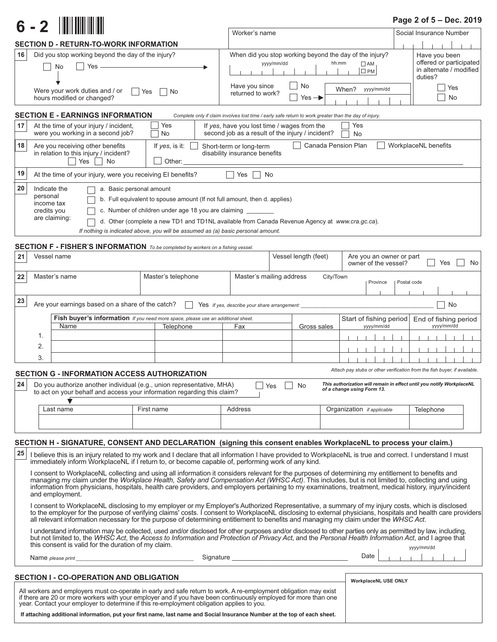|                                                                                                                                                                                                                                                                                                                                                                                                                                                                                      | $6 - 2$                                                                                                                                                                                                                                                                                                                                                                                                                      |                                                                                                                                                                                                                                                                                                                               |                         |                                                                                                       |                                                                                 |                                                              |                                                                                       | Page 2 of 5 - Dec. 2019                                                   |  |  |  |
|--------------------------------------------------------------------------------------------------------------------------------------------------------------------------------------------------------------------------------------------------------------------------------------------------------------------------------------------------------------------------------------------------------------------------------------------------------------------------------------|------------------------------------------------------------------------------------------------------------------------------------------------------------------------------------------------------------------------------------------------------------------------------------------------------------------------------------------------------------------------------------------------------------------------------|-------------------------------------------------------------------------------------------------------------------------------------------------------------------------------------------------------------------------------------------------------------------------------------------------------------------------------|-------------------------|-------------------------------------------------------------------------------------------------------|---------------------------------------------------------------------------------|--------------------------------------------------------------|---------------------------------------------------------------------------------------|---------------------------------------------------------------------------|--|--|--|
|                                                                                                                                                                                                                                                                                                                                                                                                                                                                                      |                                                                                                                                                                                                                                                                                                                                                                                                                              |                                                                                                                                                                                                                                                                                                                               |                         | Worker's name                                                                                         |                                                                                 |                                                              |                                                                                       | Social Insurance Number                                                   |  |  |  |
|                                                                                                                                                                                                                                                                                                                                                                                                                                                                                      |                                                                                                                                                                                                                                                                                                                                                                                                                              | SECTION D - RETURN-TO-WORK INFORMATION                                                                                                                                                                                                                                                                                        |                         |                                                                                                       |                                                                                 |                                                              |                                                                                       |                                                                           |  |  |  |
| 16                                                                                                                                                                                                                                                                                                                                                                                                                                                                                   |                                                                                                                                                                                                                                                                                                                                                                                                                              | Did you stop working beyond the day of the injury?<br>Yes<br>No                                                                                                                                                                                                                                                               |                         | When did you stop working beyond the day of the injury?<br>yyyy/mm/dd<br>Have you since               | No                                                                              | hh:mm<br>$\square$ AM<br>$\square$ PM<br>When?<br>yyyy/mm/dd | Have you been<br>offered or participated<br>in alternate / modified<br>duties?<br>Yes |                                                                           |  |  |  |
|                                                                                                                                                                                                                                                                                                                                                                                                                                                                                      |                                                                                                                                                                                                                                                                                                                                                                                                                              | Were your work duties and / or<br><b>Contract</b><br>hours modified or changed?                                                                                                                                                                                                                                               | Yes<br>No               | returned to work?                                                                                     | Yes $\rightarrow$                                                               |                                                              |                                                                                       | No                                                                        |  |  |  |
|                                                                                                                                                                                                                                                                                                                                                                                                                                                                                      |                                                                                                                                                                                                                                                                                                                                                                                                                              | <b>SECTION E - EARNINGS INFORMATION</b>                                                                                                                                                                                                                                                                                       |                         | Complete only if claim involves lost time / early safe return to work greater than the day of injury. |                                                                                 |                                                              |                                                                                       |                                                                           |  |  |  |
| 17                                                                                                                                                                                                                                                                                                                                                                                                                                                                                   |                                                                                                                                                                                                                                                                                                                                                                                                                              | At the time of your injury / incident,<br>were you working in a second job?                                                                                                                                                                                                                                                   | Yes<br>No               |                                                                                                       |                                                                                 |                                                              |                                                                                       |                                                                           |  |  |  |
| 18                                                                                                                                                                                                                                                                                                                                                                                                                                                                                   | Canada Pension Plan<br>WorkplaceNL benefits<br>Are you receiving other benefits<br>If yes, is it:<br>Short-term or long-term<br>in relation to this injury / incident?<br>disability insurance benefits<br>$\Box$ Yes $\Box$<br>Other:<br>No                                                                                                                                                                                 |                                                                                                                                                                                                                                                                                                                               |                         |                                                                                                       |                                                                                 |                                                              |                                                                                       |                                                                           |  |  |  |
| 19                                                                                                                                                                                                                                                                                                                                                                                                                                                                                   | At the time of your injury, were you receiving EI benefits?<br>Yes<br>No                                                                                                                                                                                                                                                                                                                                                     |                                                                                                                                                                                                                                                                                                                               |                         |                                                                                                       |                                                                                 |                                                              |                                                                                       |                                                                           |  |  |  |
| 20                                                                                                                                                                                                                                                                                                                                                                                                                                                                                   | Indicate the<br>a. Basic personal amount<br>personal<br>b. Full equivalent to spouse amount (If not full amount, then d. applies)<br>income tax<br>c. Number of children under age 18 you are claiming<br>credits you<br>are claiming:<br>d. Other (complete a new TD1 and TD1NL available from Canada Revenue Agency at www.cra.gc.ca).<br>If nothing is indicated above, you will be assumed as (a) basic personal amount. |                                                                                                                                                                                                                                                                                                                               |                         |                                                                                                       |                                                                                 |                                                              |                                                                                       |                                                                           |  |  |  |
|                                                                                                                                                                                                                                                                                                                                                                                                                                                                                      |                                                                                                                                                                                                                                                                                                                                                                                                                              | <b>SECTION F - FISHER'S INFORMATION</b> To be completed by workers on a fishing vessel.                                                                                                                                                                                                                                       |                         |                                                                                                       |                                                                                 |                                                              |                                                                                       |                                                                           |  |  |  |
| 21                                                                                                                                                                                                                                                                                                                                                                                                                                                                                   | Vessel name                                                                                                                                                                                                                                                                                                                                                                                                                  |                                                                                                                                                                                                                                                                                                                               |                         |                                                                                                       | Vessel length (feet)<br>Are you an owner or part<br>owner of the vessel?<br>Yes |                                                              |                                                                                       |                                                                           |  |  |  |
| 22                                                                                                                                                                                                                                                                                                                                                                                                                                                                                   | Master's telephone<br>Master's mailing address<br>Master's name<br>City/Town<br>Province<br>Postal code                                                                                                                                                                                                                                                                                                                      |                                                                                                                                                                                                                                                                                                                               |                         |                                                                                                       |                                                                                 |                                                              |                                                                                       |                                                                           |  |  |  |
| 23                                                                                                                                                                                                                                                                                                                                                                                                                                                                                   |                                                                                                                                                                                                                                                                                                                                                                                                                              | Are your earnings based on a share of the catch?                                                                                                                                                                                                                                                                              |                         | Yes If yes, describe your share arrangement:                                                          |                                                                                 |                                                              |                                                                                       | No                                                                        |  |  |  |
|                                                                                                                                                                                                                                                                                                                                                                                                                                                                                      |                                                                                                                                                                                                                                                                                                                                                                                                                              | Fish buyer's information If you need more space, please use an additional sheet.                                                                                                                                                                                                                                              | Start of fishing period | End of fishing period                                                                                 |                                                                                 |                                                              |                                                                                       |                                                                           |  |  |  |
|                                                                                                                                                                                                                                                                                                                                                                                                                                                                                      | 1.                                                                                                                                                                                                                                                                                                                                                                                                                           | Name                                                                                                                                                                                                                                                                                                                          | Telephone               | Fax                                                                                                   | Gross sales                                                                     | yyyy/mm/dd                                                   |                                                                                       | yyyy/mm/dd                                                                |  |  |  |
|                                                                                                                                                                                                                                                                                                                                                                                                                                                                                      | 2.<br>3.                                                                                                                                                                                                                                                                                                                                                                                                                     |                                                                                                                                                                                                                                                                                                                               |                         |                                                                                                       |                                                                                 |                                                              |                                                                                       |                                                                           |  |  |  |
|                                                                                                                                                                                                                                                                                                                                                                                                                                                                                      |                                                                                                                                                                                                                                                                                                                                                                                                                              |                                                                                                                                                                                                                                                                                                                               |                         |                                                                                                       |                                                                                 |                                                              |                                                                                       | Attach pay stubs or other verification from the fish buyer, if available. |  |  |  |
| 24                                                                                                                                                                                                                                                                                                                                                                                                                                                                                   |                                                                                                                                                                                                                                                                                                                                                                                                                              | SECTION G - INFORMATION ACCESS AUTHORIZATION<br>Do you authorize another individual (e.g., union representative, MHA)<br>to act on your behalf and access your information regarding this claim?                                                                                                                              |                         | Yes                                                                                                   | No.                                                                             | of a change using Form 13.                                   |                                                                                       | This authorization will remain in effect until you notify WorkplaceNL     |  |  |  |
|                                                                                                                                                                                                                                                                                                                                                                                                                                                                                      |                                                                                                                                                                                                                                                                                                                                                                                                                              | Last name                                                                                                                                                                                                                                                                                                                     | First name              | Address                                                                                               |                                                                                 | Organization <i>if applicable</i>                            |                                                                                       | Telephone                                                                 |  |  |  |
|                                                                                                                                                                                                                                                                                                                                                                                                                                                                                      |                                                                                                                                                                                                                                                                                                                                                                                                                              |                                                                                                                                                                                                                                                                                                                               |                         |                                                                                                       |                                                                                 |                                                              |                                                                                       |                                                                           |  |  |  |
|                                                                                                                                                                                                                                                                                                                                                                                                                                                                                      |                                                                                                                                                                                                                                                                                                                                                                                                                              |                                                                                                                                                                                                                                                                                                                               |                         |                                                                                                       |                                                                                 |                                                              |                                                                                       |                                                                           |  |  |  |
|                                                                                                                                                                                                                                                                                                                                                                                                                                                                                      |                                                                                                                                                                                                                                                                                                                                                                                                                              | SECTION H - SIGNATURE, CONSENT AND DECLARATION (signing this consent enables WorkplaceNL to process your claim.)                                                                                                                                                                                                              |                         |                                                                                                       |                                                                                 |                                                              |                                                                                       |                                                                           |  |  |  |
| 25<br>I believe this is an injury related to my work and I declare that all information I have provided to WorkplaceNL is true and correct. I understand I must<br>immediately inform WorkplaceNL if I return to, or become capable of, performing work of any kind.                                                                                                                                                                                                                 |                                                                                                                                                                                                                                                                                                                                                                                                                              |                                                                                                                                                                                                                                                                                                                               |                         |                                                                                                       |                                                                                 |                                                              |                                                                                       |                                                                           |  |  |  |
| I consent to WorkplaceNL collecting and using all information it considers relevant for the purposes of determining my entitlement to benefits and<br>managing my claim under the Workplace Health, Safety and Compensation Act (WHSC Act). This includes, but is not limited to, collecting and using<br>information from physicians, hospitals, health care providers, and employers pertaining to my examinations, treatment, medical history, injury/incident<br>and employment. |                                                                                                                                                                                                                                                                                                                                                                                                                              |                                                                                                                                                                                                                                                                                                                               |                         |                                                                                                       |                                                                                 |                                                              |                                                                                       |                                                                           |  |  |  |
| I consent to WorkplaceNL disclosing to my employer or my Employer's Authorized Representative, a summary of my injury costs, which is disclosed<br>to the employer for the purpose of verifying claims' costs. I consent to WorkplaceNL disclosing to external physicians, hospitals and health care providers<br>all relevant information necessary for the purpose of determining entitlement to benefits and managing my claim under the WHSC Act.                                |                                                                                                                                                                                                                                                                                                                                                                                                                              |                                                                                                                                                                                                                                                                                                                               |                         |                                                                                                       |                                                                                 |                                                              |                                                                                       |                                                                           |  |  |  |
| I understand information may be collected, used and/or disclosed for other purposes and/or disclosed to other parties only as permitted by law, including,<br>but not limited to, the WHSC Act, the Access to Information and Protection of Privacy Act, and the Personal Health Information Act, and I agree that<br>this consent is valid for the duration of my claim.<br>yyyy/mm/dd                                                                                              |                                                                                                                                                                                                                                                                                                                                                                                                                              |                                                                                                                                                                                                                                                                                                                               |                         |                                                                                                       |                                                                                 |                                                              |                                                                                       |                                                                           |  |  |  |
|                                                                                                                                                                                                                                                                                                                                                                                                                                                                                      |                                                                                                                                                                                                                                                                                                                                                                                                                              |                                                                                                                                                                                                                                                                                                                               | Signature               |                                                                                                       |                                                                                 | Date                                                         |                                                                                       |                                                                           |  |  |  |
|                                                                                                                                                                                                                                                                                                                                                                                                                                                                                      |                                                                                                                                                                                                                                                                                                                                                                                                                              | <b>SECTION I - CO-OPERATION AND OBLIGATION</b>                                                                                                                                                                                                                                                                                |                         |                                                                                                       |                                                                                 | WorkplaceNL USE ONLY                                         |                                                                                       |                                                                           |  |  |  |
|                                                                                                                                                                                                                                                                                                                                                                                                                                                                                      |                                                                                                                                                                                                                                                                                                                                                                                                                              | All workers and employers must co-operate in early and safe return to work. A re-employment obligation may exist<br>if there are 20 or more workers with your employer and if you have been continuously employed for more than one year. Contact your employer to determine if this re-employment obligation applies to you. |                         |                                                                                                       |                                                                                 |                                                              |                                                                                       |                                                                           |  |  |  |
|                                                                                                                                                                                                                                                                                                                                                                                                                                                                                      |                                                                                                                                                                                                                                                                                                                                                                                                                              | If attaching additional information, put your first name, last name and Social Insurance Number at the top of each sheet.                                                                                                                                                                                                     |                         |                                                                                                       |                                                                                 |                                                              |                                                                                       |                                                                           |  |  |  |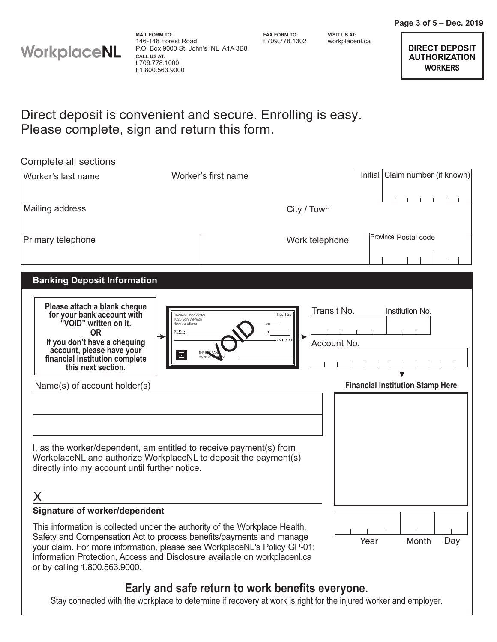

**FAX FORM TO:**

f 709.778.1302 workplacenl.ca **VISIT US AT:**

## Please complete, sign and return this form. Direct deposit is convenient and secure. Enrolling is easy.

| Complete all sections                                                                                                                                                                                                                                                                                                                                                                                                                                                                                                                                                                                                                                                               |                                                                               |                                                  |                            |      |                                                                            |
|-------------------------------------------------------------------------------------------------------------------------------------------------------------------------------------------------------------------------------------------------------------------------------------------------------------------------------------------------------------------------------------------------------------------------------------------------------------------------------------------------------------------------------------------------------------------------------------------------------------------------------------------------------------------------------------|-------------------------------------------------------------------------------|--------------------------------------------------|----------------------------|------|----------------------------------------------------------------------------|
| Worker's last name                                                                                                                                                                                                                                                                                                                                                                                                                                                                                                                                                                                                                                                                  |                                                                               | Worker's first name                              |                            |      | Initial   Claim number (if known)                                          |
| Mailing address                                                                                                                                                                                                                                                                                                                                                                                                                                                                                                                                                                                                                                                                     |                                                                               | City / Town                                      |                            |      |                                                                            |
| Primary telephone                                                                                                                                                                                                                                                                                                                                                                                                                                                                                                                                                                                                                                                                   |                                                                               | Work telephone                                   |                            |      | Province Postal code                                                       |
| <b>Banking Deposit Information</b><br>Please attach a blank cheque<br>for your bank account with<br>"VOID" written on it.<br><b>OR</b><br>If you don't have a chequing<br>account, please have your<br>financial institution complete<br>this next section.<br>Name(s) of account holder(s)<br>I, as the worker/dependent, am entitled to receive payment(s) from<br>WorkplaceNL and authorize WorkplaceNL to deposit the payment(s)<br>directly into my account until further notice.<br><b>Signature of worker/dependent</b><br>This information is collected under the authority of the Workplace Health,<br>Safety and Compensation Act to process benefits/payments and manage | Charles Checkwriter<br>1020 Bon Vie Way<br>Newfoundland<br>.<br>ORDER OF<br>回 | No. 155<br>DOLLARS                               | Transit No.<br>Account No. | Year | Institution No.<br><b>Financial Institution Stamp Here</b><br>Month<br>Day |
| your claim. For more information, please see WorkplaceNL's Policy GP-01:<br>Information Protection, Access and Disclosure available on workplacenl.ca<br>or by calling 1.800.563.9000.                                                                                                                                                                                                                                                                                                                                                                                                                                                                                              |                                                                               |                                                  |                            |      |                                                                            |
|                                                                                                                                                                                                                                                                                                                                                                                                                                                                                                                                                                                                                                                                                     |                                                                               | Early and safe return to work benefits everyone. |                            |      |                                                                            |

Stay connected with the workplace to determine if recovery at work is right for the injured worker and employer.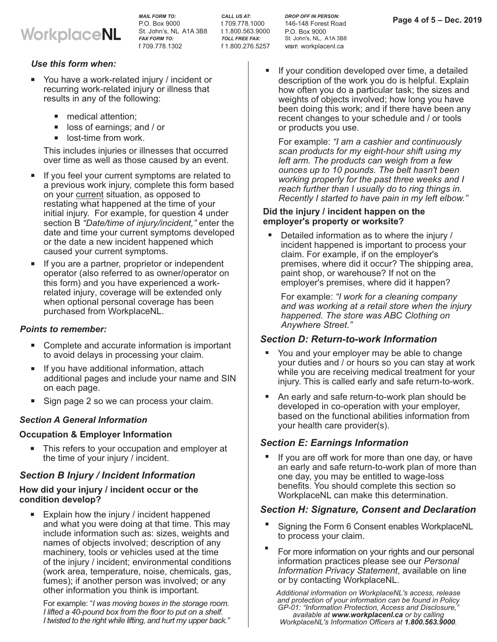

*MAIL FORM TO:* P.O. Box 9000 St. John's, NL A1A 3B8 t 1.800.563.9000 *FAX FORM TO:* f 709.778.1302

*CALL US AT:* t 709.778.1000 *TOLL FREE FAX:* f 1.800.276.5257

*DROP OFF IN PERSON:* 146-148 Forest Road

P.O. Box 9000 St. John's, NL, A1A 3B8

*VISIT:* workplacenl.ca

**Page 4 of 5 – Dec. 2019** 

#### *Use this form when:*

- You have a work-related injury / incident or recurring work-related injury or illness that results in any of the following:
	- medical attention; -
	- loss of earnings; and / or -
	- lost-time from work.

This includes injuries or illnesses that occurred over time as well as those caused by an event.

- If you feel your current symptoms are related to a previous work injury, complete this form based on your <u>current</u> situation, as opposed to restating what happened at the time of your initial injury. For example, for question 4 under section B *"Date/time of injury/incident,"* enter the date and time your current symptoms developed or the date a new incident happened which caused your current symptoms.
- If you are a partner, proprietor or independent operator (also referred to as owner/operator on this form) and you have experienced a workrelated injury, coverage will be extended only when optional personal coverage has been purchased from WorkplaceNL.

#### *Points to remember:*

- Complete and accurate information is important to avoid delays in processing your claim.
- If you have additional information, attach additional pages and include your name and SIN on each page.
- Sign page 2 so we can process your claim.

#### *Section A General Information*

# **Occupation & Employer Information** -

This refers to your occupation and employer at the time of your injury / incident.

### *Section B Injury / Incident Information*

## How did your injury / incident occur or the **condition develop?** -

Explain how the injury / incident happened and what you were doing at that time. This may include information such as: sizes, weights and names of objects involved; description of any machinery, tools or vehicles used at the time of the injury / incident; environmental conditions (work area, temperature, noise, chemicals, gas, fumes); if another person was involved; or any other information you think is important.

For example: "*I was moving boxes in the storage room. I lifted a 40 pound box from the floor to put on a shelf. - I twisted to the right while lifting, and hurt my upper back."* If your condition developed over time, a detailed description of the work you do is helpful. Explain how often you do a particular task; the sizes and weights of objects involved; how long you have been doing this work; and if there have been any recent changes to your schedule and / or tools or products you use.

For example: *"I am a cashier and continuously scan products for my eight-hour shift using my left arm. The products can weigh from a few ounces to 10 pounds. The belt hasn't been up* working properly for the past three weeks and I *reach further than I usually do to ring things in . Recently I started to have pain in my left elbow.*"

## **Did the injury / incident happen on the employer's property or worksite?** -

Detailed information as to where the injury / incident happened is important to process your claim. For example, if on the employer's premises, where did it occur? The shipping area, paint shop, or warehouse? If not on the employer's premises, where did it happen?

For example: *"I work for a cleaning company and was working at a retail store when the injury happened. The store was ABC Clothing on Anywhere Street."*

# *Section D: Return-to-work Information* -

- You and your employer may be able to change your duties and / or hours so you can stay at work while you are receiving medical treatment for your injury. This is called early and safe return-to-work.
- An early and safe return-to-work plan should be developed in co-operation with your employer, based on the functional abilities information from your health care provider(s).

# *Section E: Earnings Information* -

If you are off work for more than one day, or have an early and safe return-to-work plan of more than one day, you may be entitled to wage-loss benefits. You should complete this section so WorkplaceNL can make this determination.

# Section H: Signature, Consent and Declaration

- Signing the Form 6 Consent enables WorkplaceNL to process your claim.
- For more information on your rights and our personal information practices please see our *Personal Information Privacy Statement*, available on line or by contacting WorkplaceNL.

*Additional information on WorkplaceNL's access, release and protection of your information can be found in Policy GP-01: "Information Protection, Access and Disclosure,"* available at www.workplacenl.ca or by calling *WorkplaceNL's Information Officers at 1.800.563.9000.*